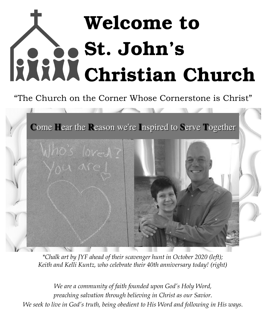# Welcome to St. John's Christian Church

# "The Church on the Corner Whose Cornerstone is Christ"



*\*Chalk art by JYF ahead of their scavenger hunt in October 2020 (left); Keith and Kelli Kuntz, who celebrate their 40th anniversary today! (right)*

*We are a community of faith founded upon God's Holy Word, preaching salvation through believing in Christ as our Savior. We seek to live in God's truth, being obedient to His Word and following in His ways.*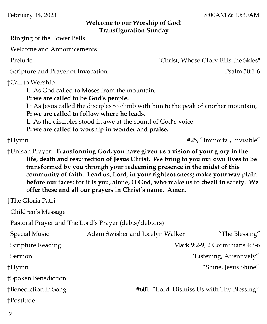February 14, 2021 8:00AM & 10:30AM

#### **Welcome to our Worship of God! Transfiguration Sunday**

Ringing of the Tower Bells

Welcome and Announcements

Prelude "Christ, Whose Glory Fills the Skies"

Scripture and Prayer of Invocation **Psalm 50:1-6** 

†Call to Worship

L: As God called to Moses from the mountain,

**P: we are called to be God's people.**

L: As Jesus called the disciples to climb with him to the peak of another mountain,

**P: we are called to follow where he leads.**

L: As the disciples stood in awe at the sound of God's voice,

**P: we are called to worship in wonder and praise.** 

†Hymn #25, "Immortal, Invisible"

†Unison Prayer: **Transforming God, you have given us a vision of your glory in the life, death and resurrection of Jesus Christ. We bring to you our own lives to be transformed by you through your redeeming presence in the midst of this community of faith. Lead us, Lord, in your righteousness; make your way plain before our faces; for it is you, alone, O God, who make us to dwell in safety. We offer these and all our prayers in Christ's name. Amen.**

†The Gloria Patri

Children's Message

Pastoral Prayer and The Lord's Prayer (debts/debtors)

| <b>Special Music</b> | Adam Swisher and Jocelyn Walker            | "The Blessing"                  |
|----------------------|--------------------------------------------|---------------------------------|
| Scripture Reading    |                                            | Mark 9:2-9, 2 Corinthians 4:3-6 |
| Sermon               |                                            | "Listening, Attentively"        |
| †Hymn                |                                            | "Shine, Jesus Shine"            |
| †Spoken Benediction  |                                            |                                 |
| †Benediction in Song | #601, "Lord, Dismiss Us with Thy Blessing" |                                 |
| †Postlude            |                                            |                                 |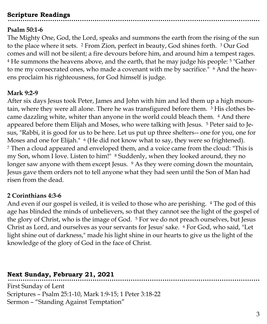# **Scripture Readings**

#### **Psalm 50:1-6**

The Mighty One, God, the Lord, speaks and summons the earth from the rising of the sun to the place where it sets. <sup>2</sup> From Zion, perfect in beauty, God shines forth. <sup>3</sup> Our God comes and will not be silent; a fire devours before him, and around him a tempest rages. <sup>4</sup> He summons the heavens above, and the earth, that he may judge his people: <sup>5</sup> "Gather to me my consecrated ones, who made a covenant with me by sacrifice." <sup>6</sup> And the heavens proclaim his righteousness, for God himself is judge.

#### **Mark 9:2-9**

After six days Jesus took Peter, James and John with him and led them up a high mountain, where they were all alone. There he was transfigured before them. <sup>3</sup> His clothes became dazzling white, whiter than anyone in the world could bleach them. <sup>4</sup> And there appeared before them Elijah and Moses, who were talking with Jesus. <sup>5</sup> Peter said to Jesus, "Rabbi, it is good for us to be here. Let us put up three shelters-- one for you, one for Moses and one for Elijah." <sup>6</sup> (He did not know what to say, they were so frightened). <sup>7</sup> Then a cloud appeared and enveloped them, and a voice came from the cloud: "This is my Son, whom I love. Listen to him!" <sup>8</sup> Suddenly, when they looked around, they no longer saw anyone with them except Jesus. <sup>9</sup> As they were coming down the mountain, Jesus gave them orders not to tell anyone what they had seen until the Son of Man had risen from the dead.

#### **2 Corinthians 4:3-6**

And even if our gospel is veiled, it is veiled to those who are perishing. <sup>4</sup> The god of this age has blinded the minds of unbelievers, so that they cannot see the light of the gospel of the glory of Christ, who is the image of God. <sup>5</sup> For we do not preach ourselves, but Jesus Christ as Lord, and ourselves as your servants for Jesus' sake. <sup>6</sup> For God, who said, "Let light shine out of darkness," made his light shine in our hearts to give us the light of the knowledge of the glory of God in the face of Christ.

# **Next Sunday, February 21, 2021**

First Sunday of Lent Scriptures – Psalm 25:1-10, Mark 1:9-15; 1 Peter 3:18-22 Sermon – "Standing Against Temptation"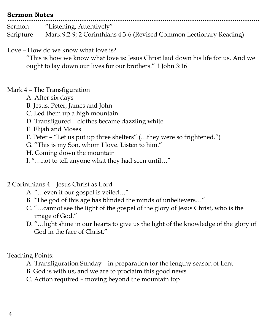# **Sermon Notes** Sermon "Listening, Attentively" Scripture Mark 9:2-9; 2 Corinthians 4:3-6 (Revised Common Lectionary Reading)

Love – How do we know what love is?

"This is how we know what love is: Jesus Christ laid down his life for us. And we ought to lay down our lives for our brothers." 1 John 3:16

#### Mark 4 – The Transfiguration

- A. After six days
- B. Jesus, Peter, James and John
- C. Led them up a high mountain
- D. Transfigured clothes became dazzling white
- E. Elijah and Moses
- F. Peter "Let us put up three shelters" (…they were so frightened.")
- G. "This is my Son, whom I love. Listen to him."
- H. Coming down the mountain
- I. "…not to tell anyone what they had seen until…"

# 2 Corinthians 4 – Jesus Christ as Lord

- A. "…even if our gospel is veiled…"
- B. "The god of this age has blinded the minds of unbelievers…"
- C. "…cannot see the light of the gospel of the glory of Jesus Christ, who is the image of God."
- D. "…light shine in our hearts to give us the light of the knowledge of the glory of God in the face of Christ."

Teaching Points:

- A. Transfiguration Sunday in preparation for the lengthy season of Lent
- B. God is with us, and we are to proclaim this good news
- C. Action required moving beyond the mountain top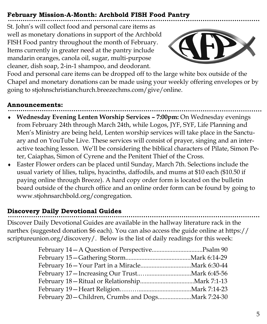# **February Mission-A-Month: Archbold FISH Food Pantry**

St. John's will collect food and personal care items as well as monetary donations in support of the Archbold FISH Food pantry throughout the month of February. Items currently in greater need at the pantry include mandarin oranges, canola oil, sugar, multi-purpose cleaner, dish soap, 2-in-1 shampoo, and deodorant.



Food and personal care items can be dropped off to the large white box outside of the Chapel and monetary donations can be made using your weekly offering envelopes or by going to stjohnschristianchurch.breezechms.com/give/online.

#### **Announcements:**

- **Wednesday Evening Lenten Worship Services – 7:00pm:** On Wednesday evenings from February 24th through March 24th, while Logos, JYF, SYF, Life Planning and Men's Ministry are being held, Lenten worship services will take place in the Sanctuary and on YouTube Live. These services will consist of prayer, singing and an interactive teaching lesson. We'll be considering the biblical characters of Pilate, Simon Peter, Caiaphas, Simon of Cyrene and the Penitent Thief of the Cross.
- Easter Flower orders can be placed until Sunday, March 7th. Selections include the usual variety of lilies, tulips, hyacinths, daffodils, and mums at \$10 each (\$10.50 if paying online through Breeze). A hard copy order form is located on the bulletin board outside of the church office and an online order form can be found by going to www.stjohnsarchbold.org/congregation.

# **Discovery Daily Devotional Guides**

Discover Daily Devotional Guides are available in the hallway literature rack in the narthex (suggested donation \$6 each). You can also access the guide online at https:// scriptureunion.org/discovery/. Below is the list of daily readings for this week: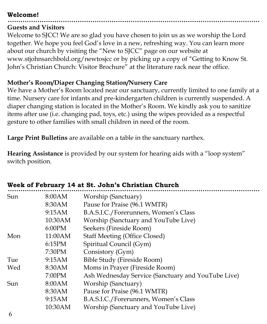#### **Welcome!**

#### **Guests and Visitors**

Welcome to SJCC! We are so glad you have chosen to join us as we worship the Lord together. We hope you feel God's love in a new, refreshing way. You can learn more about our church by visiting the "New to SJCC" page on our website at www.stjohnsarchbold.org/newtosjcc or by picking up a copy of "Getting to Know St. John's Christian Church: Visitor Brochure" at the literature rack near the office.

#### **Mother's Room/Diaper Changing Station/Nursery Care**

We have a Mother's Room located near our sanctuary, currently limited to one family at a time. Nursery care for infants and pre-kindergarten children is currently suspended. A diaper changing station is located in the Mother's Room. We kindly ask you to sanitize items after use (i.e. changing pad, toys, etc.) using the wipes provided as a respectful gesture to other families with small children in need of the room.

**Large Print Bulletins** are available on a table in the sanctuary narthex.

**Hearing Assistance** is provided by our system for hearing aids with a "loop system" switch position.

| Sun | 8:00AM  | Worship (Sanctuary)                                |
|-----|---------|----------------------------------------------------|
|     | 8:30AM  | Pause for Praise (96.1 WMTR)                       |
|     | 9:15AM  | B.A.S.I.C./Forerunners, Women's Class              |
|     | 10:30AM | Worship (Sanctuary and YouTube Live)               |
|     | 6:00PM  | Seekers (Fireside Room)                            |
| Mon | 11:00AM | <b>Staff Meeting (Office Closed)</b>               |
|     | 6:15PM  | Spiritual Council (Gym)                            |
|     | 7:30PM  | Consistory (Gym)                                   |
| Tue | 9:15AM  | <b>Bible Study (Fireside Room)</b>                 |
| Wed | 8:30AM  | Moms in Prayer (Fireside Room)                     |
|     | 7:00PM  | Ash Wednesday Service (Sanctuary and YouTube Live) |
| Sun | 8:00AM  | Worship (Sanctuary)                                |
|     | 8:30AM  | Pause for Praise (96.1 WMTR)                       |
|     | 9:15AM  | B.A.S.I.C./Forerunners, Women's Class              |
|     | 10:30AM | Worship (Sanctuary and YouTube Live)               |
|     |         |                                                    |

#### **Week of February 14 at St. John's Christian Church**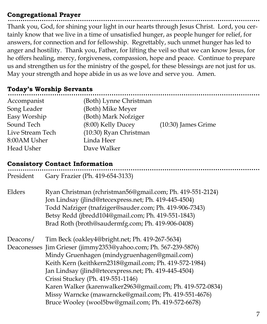#### **Congregational Prayer**

Thank you, God, for shining your light in our hearts through Jesus Christ. Lord, you certainly know that we live in a time of unsatisfied hunger, as people hunger for relief, for answers, for connection and for fellowship. Regrettably, such unmet hunger has led to anger and hostility. Thank you, Father, for lifting the veil so that we can know Jesus, for he offers healing, mercy, forgiveness, compassion, hope and peace. Continue to prepare us and strengthen us for the ministry of the gospel, for these blessings are not just for us. May your strength and hope abide in us as we love and serve you. Amen.

#### **Today's Worship Servants**

| Accompanist      | (Both) Lynne Christman |                       |
|------------------|------------------------|-----------------------|
| Song Leader      | (Both) Mike Meyer      |                       |
| Easy Worship     | (Both) Mark Nofziger   |                       |
| Sound Tech       | (8:00) Kelly Ducey     | $(10:30)$ James Grime |
| Live Stream Tech | (10:30) Ryan Christman |                       |
| 8:00AM Usher     | Linda Heer             |                       |
| Head Usher       | Dave Walker            |                       |
|                  |                        |                       |

#### **Consistory Contact Information**

| President | Gary Frazier (Ph. 419-654-3133)                                                                                                                                                                                                                                                                                                                                                                                                                                                                         |
|-----------|---------------------------------------------------------------------------------------------------------------------------------------------------------------------------------------------------------------------------------------------------------------------------------------------------------------------------------------------------------------------------------------------------------------------------------------------------------------------------------------------------------|
| Elders    | Ryan Christman (rchristman56@gmail.com; Ph. 419-551-2124)<br>Jon Lindsay (jlind@rtecexpress.net; Ph. 419-445-4504)<br>Todd Nafziger (tnafziger@sauder.com; Ph. 419-906-7343)<br>Betsy Redd (jbredd104@gmail.com; Ph. 419-551-1843)<br>Brad Roth (broth@saudermfg.com; Ph. 419-906-0408)                                                                                                                                                                                                                 |
| Deacons/  | Tim Beck (oakley4@bright.net; Ph. 419-267-5634)<br>Deaconesses Jim Grieser (jimmy2353@yahoo.com; Ph. 567-239-5876)<br>Mindy Gruenhagen (mindygruenhagen@gmail.com)<br>Keith Kern (keithkern2318@gmail.com; Ph. 419-572-1984)<br>Jan Lindsay (jlind@rtecexpress.net; Ph. 419-445-4504)<br>Crissi Stuckey (Ph. 419-551-1146)<br>Karen Walker (karenwalker2963@gmail.com; Ph. 419-572-0834)<br>Missy Warncke (mawarncke@gmail.com; Ph. 419-551-4676)<br>Bruce Wooley (wool5bw@gmail.com; Ph. 419-572-6678) |